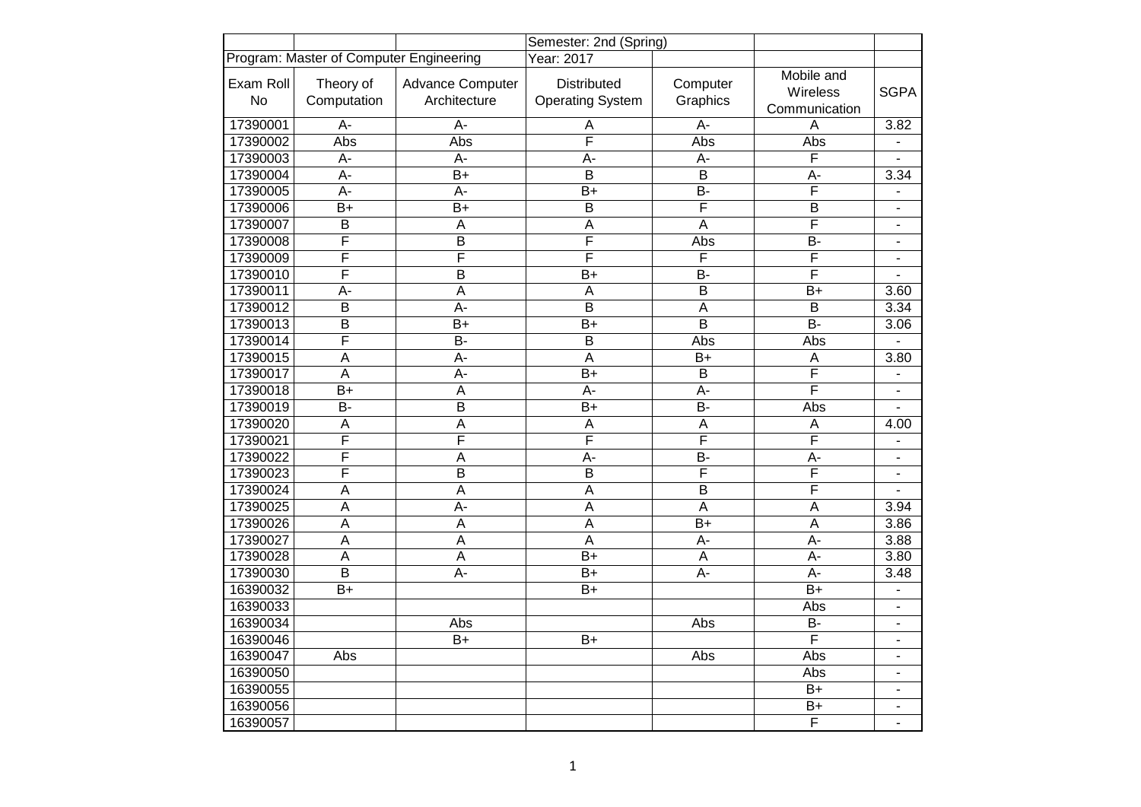|                        |                                         |                                         | Semester: 2nd (Spring)                        |                         |                                         |                          |
|------------------------|-----------------------------------------|-----------------------------------------|-----------------------------------------------|-------------------------|-----------------------------------------|--------------------------|
|                        | Program: Master of Computer Engineering |                                         | Year: 2017                                    |                         |                                         |                          |
| Exam Roll<br><b>No</b> | Theory of<br>Computation                | <b>Advance Computer</b><br>Architecture | <b>Distributed</b><br><b>Operating System</b> | Computer<br>Graphics    | Mobile and<br>Wireless<br>Communication | <b>SGPA</b>              |
| 17390001               | $\overline{A}$ -                        | $\overline{A}$ -                        | A                                             | $\overline{A}$ -        | Α                                       | 3.82                     |
| 17390002               | Abs                                     | Abs                                     | F                                             | Abs                     | Abs                                     | ÷.                       |
| 17390003               | A-                                      | A-                                      | $A -$                                         | A-                      | F                                       | $\blacksquare$           |
| 17390004               | A-                                      | $B+$                                    | $\overline{B}$                                | $\overline{B}$          | A-                                      | 3.34                     |
| 17390005               | $\overline{A}$ -                        | $\overline{A}$ -                        | $\overline{B+}$                               | $\overline{B}$          | F                                       | $\blacksquare$           |
| 17390006               | $\overline{B+}$                         | $B+$                                    | $\overline{\mathsf{B}}$                       | $\overline{\mathsf{F}}$ | B                                       | ٠                        |
| 17390007               | $\overline{B}$                          | A                                       | $\overline{A}$                                | $\overline{A}$          | F                                       | $\blacksquare$           |
| 17390008               | F                                       | $\overline{B}$                          | $\overline{\mathsf{F}}$                       | Abs                     | $\overline{B}$                          | $\blacksquare$           |
| 17390009               | $\overline{\mathsf{F}}$                 | $\overline{\mathsf{F}}$                 | $\overline{\mathsf{F}}$                       | F                       | $\overline{\mathsf{F}}$                 | $\blacksquare$           |
| 17390010               | F                                       | $\overline{\mathsf{B}}$                 | $B+$                                          | $\overline{B}$          | Ē                                       |                          |
| 17390011               | A-                                      | A                                       | A                                             | B                       | $B+$                                    | 3.60                     |
| 17390012               | B                                       | A-                                      | $\overline{B}$                                | A                       | $\overline{B}$                          | 3.34                     |
| 17390013               | $\overline{B}$                          | $B+$                                    | $B+$                                          | $\overline{B}$          | $B -$                                   | 3.06                     |
| 17390014               | F                                       | $\overline{B}$                          | $\overline{B}$                                | Abs                     | Abs                                     |                          |
| 17390015               | $\overline{A}$                          | $A -$                                   | $\overline{A}$                                | $B+$                    | $\overline{A}$                          | 3.80                     |
| 17390017               | $\overline{A}$                          | A-                                      | $B+$                                          | B                       | F                                       | $\overline{\phantom{0}}$ |
| 17390018               | $B+$                                    | A                                       | $A -$                                         | A-                      | F                                       | $\blacksquare$           |
| 17390019               | $\overline{B}$                          | $\overline{B}$                          | $\overline{B+}$                               | $\overline{B}$          | Abs                                     | $\overline{a}$           |
| 17390020               | $\overline{A}$                          | $\overline{A}$                          | $\overline{A}$                                | $\overline{A}$          | A                                       | 4.00                     |
| 17390021               | F                                       | F                                       | F                                             | F                       | F                                       | $\blacksquare$           |
| 17390022               | F                                       | A                                       | A-                                            | B-                      | A-                                      | $\overline{\phantom{0}}$ |
| 17390023               | F                                       | $\overline{B}$                          | $\overline{B}$                                | $\overline{\mathsf{F}}$ | F                                       | $\blacksquare$           |
| 17390024               | A                                       | $\overline{A}$                          | $\overline{A}$                                | B                       | F                                       |                          |
| 17390025               | A                                       | A-                                      | A                                             | $\overline{A}$          | $\overline{A}$                          | 3.94                     |
| 17390026               | $\overline{A}$                          | $\overline{A}$                          | $\overline{A}$                                | $\overline{B+}$         | $\overline{A}$                          | 3.86                     |
| 17390027               | $\overline{A}$                          | A                                       | A                                             | A-                      | A-                                      | 3.88                     |
| 17390028               | $\overline{A}$                          | $\overline{A}$                          | $\overline{B+}$                               | A                       | A-                                      | 3.80                     |
| 17390030               | $\overline{B}$                          | $\overline{A}$ -                        | $B+$                                          | $\overline{A}$ -        | $\overline{A}$ -                        | 3.48                     |
| 16390032               | $B+$                                    |                                         | B+                                            |                         | $B+$                                    | $\blacksquare$           |
| 16390033               |                                         |                                         |                                               |                         | Abs                                     | ۰                        |
| 16390034               |                                         | Abs                                     |                                               | Abs                     | $\overline{B}$                          | $\blacksquare$           |
| 16390046               |                                         | $\overline{B+}$                         | $\overline{B+}$                               |                         | F                                       | $\overline{\phantom{a}}$ |
| 16390047               | Abs                                     |                                         |                                               | Abs                     | Abs                                     | $\blacksquare$           |
| 16390050               |                                         |                                         |                                               |                         | Abs                                     | $\blacksquare$           |
| 16390055               |                                         |                                         |                                               |                         | $\overline{B+}$                         | $\overline{\phantom{m}}$ |
| 16390056               |                                         |                                         |                                               |                         | $B+$                                    | $\blacksquare$           |
| 16390057               |                                         |                                         |                                               |                         | F                                       | $\blacksquare$           |